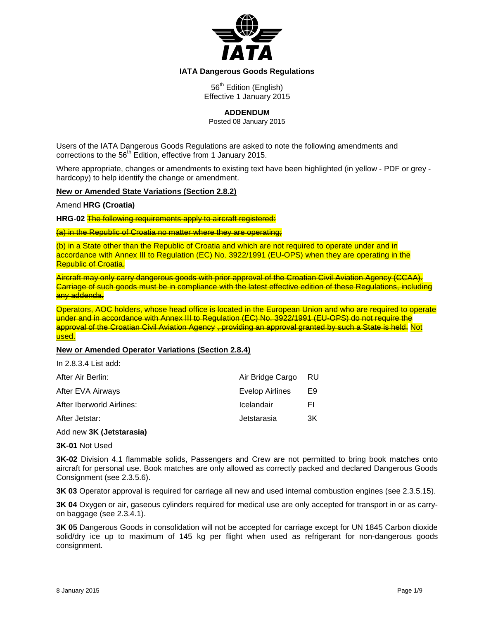

### **IATA Dangerous Goods Regulations**

56<sup>th</sup> Edition (English) Effective 1 January 2015

**ADDENDUM**

Posted 08 January 2015

Users of the IATA Dangerous Goods Regulations are asked to note the following amendments and corrections to the 56<sup>th</sup> Edition, effective from 1 January 2015.

Where appropriate, changes or amendments to existing text have been highlighted (in yellow - PDF or grey hardcopy) to help identify the change or amendment.

## **New or Amended State Variations (Section 2.8.2)**

Amend **HRG (Croatia)**

**HRG-02** The following requirements apply to aircraft registered:

(a) in the Republic of Croatia no matter where they are operating;

(b) in a State other than the Republic of Croatia and which are not required to operate under and in accordance with Annex III to Regulation (EC) No. 3922/1991 (EU-OPS) when they are operating in the Republic of Croatia.

Aircraft may only carry dangerous goods with prior approval of the Croatian Civil Aviation Agency (CCAA). Carriage of such goods must be in compliance with the latest effective edition of these Regulations, including any addenda.

Operators, AOC holders, whose head office is located in the European Union and who are required to operate under and in accordance with Annex III to Regulation (EC) No. 3922/1991 (EU-OPS) do not require the approval of the Croatian Civil Aviation Agency , providing an approval granted by such a State is held. Not used.

## **New or Amended Operator Variations (Section 2.8.4)**

In 2.8.3.4 List add:

| After Air Berlin:         | Air Bridge Cargo | -RU |
|---------------------------|------------------|-----|
| After EVA Airways         | Evelop Airlines  | E9  |
| After Iberworld Airlines: | Icelandair       | FI  |
| After Jetstar:            | Jetstarasia      | 3K  |

### Add new **3K (Jetstarasia)**

**3K-01** Not Used

**3K-02** Division 4.1 flammable solids, Passengers and Crew are not permitted to bring book matches onto aircraft for personal use. Book matches are only allowed as correctly packed and declared Dangerous Goods Consignment (see 2.3.5.6).

**3K 03** Operator approval is required for carriage all new and used internal combustion engines (see 2.3.5.15).

**3K 04** Oxygen or air, gaseous cylinders required for medical use are only accepted for transport in or as carryon baggage (see 2.3.4.1).

**3K 05** Dangerous Goods in consolidation will not be accepted for carriage except for UN 1845 Carbon dioxide solid/dry ice up to maximum of 145 kg per flight when used as refrigerant for non-dangerous goods consignment.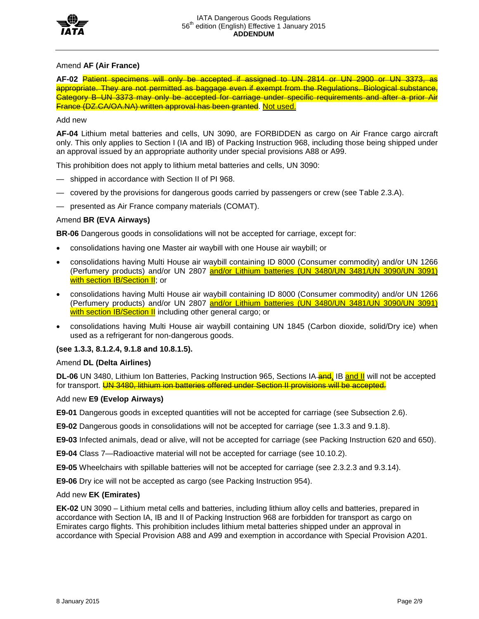

### Amend **AF (Air France)**

**AF-02** Patient specimens will only be accepted if assigned to UN 2814 or UN 2900 or UN 3373, as appropriate. They are not permitted as baggage even if exempt from the Regulations. Biological substance, Category B–UN 3373 may only be accepted for carriage under specific requirements and after a prior Air France (DZ.CA/OA.NA) written approval has been granted. Not used.

### Add new

**AF-04** Lithium metal batteries and cells, UN 3090, are FORBIDDEN as cargo on Air France cargo aircraft only. This only applies to Section I (IA and IB) of Packing Instruction 968, including those being shipped under an approval issued by an appropriate authority under special provisions A88 or A99.

This prohibition does not apply to lithium metal batteries and cells, UN 3090:

- shipped in accordance with Section II of PI 968.
- covered by the provisions for dangerous goods carried by passengers or crew (see Table 2.3.A).
- presented as Air France company materials (COMAT).

### Amend **BR (EVA Airways)**

**BR-06** Dangerous goods in consolidations will not be accepted for carriage, except for:

- consolidations having one Master air waybill with one House air waybill; or
- consolidations having Multi House air waybill containing ID 8000 (Consumer commodity) and/or UN 1266 (Perfumery products) and/or UN 2807 and/or Lithium batteries (UN 3480/UN 3481/UN 3090/UN 3091) with section IB/Section II; or
- consolidations having Multi House air waybill containing ID 8000 (Consumer commodity) and/or UN 1266 (Perfumery products) and/or UN 2807 and/or Lithium batteries (UN 3480/UN 3481/UN 3090/UN 3091) with section IB/Section II including other general cargo; or
- consolidations having Multi House air waybill containing UN 1845 (Carbon dioxide, solid/Dry ice) when used as a refrigerant for non-dangerous goods.

#### **(see 1.3.3, 8.1.2.4, 9.1.8 and 10.8.1.5).**

#### Amend **DL (Delta Airlines)**

**DL-06** UN 3480, Lithium Ion Batteries, Packing Instruction 965, Sections IA-**and, IB and II** will not be accepted for transport. UN 3480, lithium ion batteries offered under Section II provisions will be accepted.

#### Add new **E9 (Evelop Airways)**

**E9-01** Dangerous goods in excepted quantities will not be accepted for carriage (see Subsection 2.6).

**E9-02** Dangerous goods in consolidations will not be accepted for carriage (see 1.3.3 and 9.1.8).

**E9-03** Infected animals, dead or alive, will not be accepted for carriage (see Packing Instruction 620 and 650).

**E9-04** Class 7—Radioactive material will not be accepted for carriage (see 10.10.2).

**E9-05** Wheelchairs with spillable batteries will not be accepted for carriage (see 2.3.2.3 and 9.3.14).

**E9-06** Dry ice will not be accepted as cargo (see Packing Instruction 954).

#### Add new **EK (Emirates)**

**EK-02** UN 3090 – Lithium metal cells and batteries, including lithium alloy cells and batteries, prepared in accordance with Section IA, IB and II of Packing Instruction 968 are forbidden for transport as cargo on Emirates cargo flights. This prohibition includes lithium metal batteries shipped under an approval in accordance with Special Provision A88 and A99 and exemption in accordance with Special Provision A201.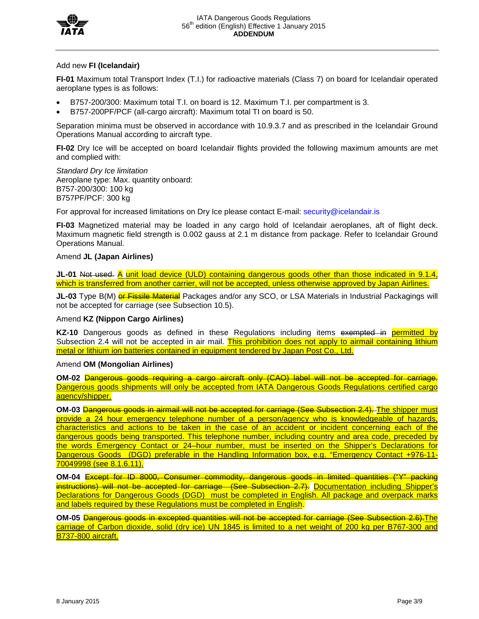



#### Add new **FI (Icelandair)**

**FI-01** Maximum total Transport Index (T.I.) for radioactive materials (Class 7) on board for Icelandair operated aeroplane types is as follows:

- B757-200/300: Maximum total T.I. on board is 12. Maximum T.I. per compartment is 3.
- B757-200PF/PCF (all-cargo aircraft): Maximum total TI on board is 50.

Separation minima must be observed in accordance with 10.9.3.7 and as prescribed in the Icelandair Ground Operations Manual according to aircraft type.

**FI-02** Dry Ice will be accepted on board Icelandair flights provided the following maximum amounts are met and complied with:

*Standard Dry Ice limitation*  Aeroplane type: Max. quantity onboard: B757-200/300: 100 kg B757PF/PCF: 300 kg

For approval for increased limitations on Dry Ice please contact E-mail: security@icelandair.is

**FI-03** Magnetized material may be loaded in any cargo hold of Icelandair aeroplanes, aft of flight deck. Maximum magnetic field strength is 0.002 gauss at 2.1 m distance from package. Refer to Icelandair Ground Operations Manual.

### Amend **JL (Japan Airlines)**

**JL-01** Not used. A unit load device (ULD) containing dangerous goods other than those indicated in 9.1.4, which is transferred from another carrier, will not be accepted, unless otherwise approved by Japan Airlines.

**JL-03** Type B(M) or Fissile Material Packages and/or any SCO, or LSA Materials in Industrial Packagings will not be accepted for carriage (see Subsection 10.5).

#### Amend **KZ (Nippon Cargo Airlines)**

**KZ-10** Dangerous goods as defined in these Regulations including items exempted in permitted by Subsection 2.4 will not be accepted in air mail. This prohibition does not apply to airmail containing lithium metal or lithium ion batteries contained in equipment tendered by Japan Post Co., Ltd.

#### Amend **OM (Mongolian Airlines)**

**OM-02** Dangerous goods requiring a cargo aircraft only (CAO) label will not be accepted for carriage. Dangerous goods shipments will only be accepted from IATA Dangerous Goods Regulations certified cargo agency/shipper.

**OM-03** Dangerous goods in airmail will not be accepted for carriage (See Subsection 2.4). The shipper must provide a 24 hour emergency telephone number of a person/agency who is knowledgeable of hazards, characteristics and actions to be taken in the case of an accident or incident concerning each of the dangerous goods being transported. This telephone number, including country and area code, preceded by the words Emergency Contact or 24–hour number, must be inserted on the Shipper's Declarations for Dangerous Goods (DGD) preferable in the Handling Information box, e.g. "Emergency Contact +976-11-70049998 (see 8.1.6.11).

**OM-04** Except for ID 8000, Consumer commodity, dangerous goods in limited quantities ("Y" packing instructions) will not be accepted for carriage (See Subsection 2.7). Documentation including Shipper's Declarations for Dangerous Goods (DGD) must be completed in English. All package and overpack marks and labels required by these Regulations must be completed in English.

**OM-05** Dangerous goods in excepted quantities will not be accepted for carriage (See Subsection 2.6).The carriage of Carbon dioxide, solid (dry ice) UN 1845 is limited to a net weight of 200 kg per B767-300 and B737-800 aircraft.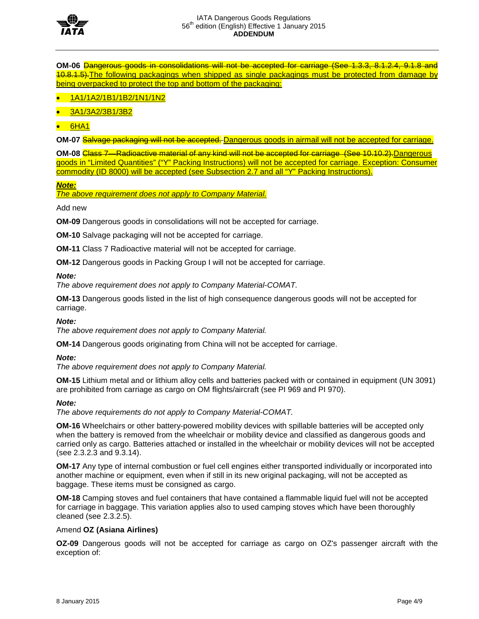

**OM-06** Dangerous goods in consolidations will not be accepted for carriage (See 1.3.3, 8.1.2.4, 9.1.8 and 10.8.1.5).The following packagings when shipped as single packagings must be protected from damage by being overpacked to protect the top and bottom of the packaging:

- 1A1/1A2/1B1/1B2/1N1/1N2
- 3A1/3A2/3B1/3B2
- 6HA1

**OM-07** Salvage packaging will not be accepted. Dangerous goods in airmail will not be accepted for carriage.

**OM-08** Class 7—Radioactive material of any kind will not be accepted for carriage (See 10.10.2).Dangerous goods in "Limited Quantities" ("Y" Packing Instructions) will not be accepted for carriage. Exception: Consumer commodity (ID 8000) will be accepted (see Subsection 2.7 and all "Y" Packing Instructions).

*Note:*

*The above requirement does not apply to Company Material.*

Add new

**OM-09** Dangerous goods in consolidations will not be accepted for carriage.

**OM-10** Salvage packaging will not be accepted for carriage.

**OM-11** Class 7 Radioactive material will not be accepted for carriage.

**OM-12** Dangerous goods in Packing Group I will not be accepted for carriage.

### *Note:*

*The above requirement does not apply to Company Material-COMAT.*

**OM-13** Dangerous goods listed in the list of high consequence dangerous goods will not be accepted for carriage.

## *Note:*

*The above requirement does not apply to Company Material.*

**OM-14** Dangerous goods originating from China will not be accepted for carriage.

*Note:*

*The above requirement does not apply to Company Material.*

**OM-15** Lithium metal and or lithium alloy cells and batteries packed with or contained in equipment (UN 3091) are prohibited from carriage as cargo on OM flights/aircraft (see PI 969 and PI 970).

## *Note:*

*The above requirements do not apply to Company Material-COMAT.*

**OM-16** Wheelchairs or other battery-powered mobility devices with spillable batteries will be accepted only when the battery is removed from the wheelchair or mobility device and classified as dangerous goods and carried only as cargo. Batteries attached or installed in the wheelchair or mobility devices will not be accepted (see 2.3.2.3 and 9.3.14).

**OM-17** Any type of internal combustion or fuel cell engines either transported individually or incorporated into another machine or equipment, even when if still in its new original packaging, will not be accepted as baggage. These items must be consigned as cargo.

**OM-18** Camping stoves and fuel containers that have contained a flammable liquid fuel will not be accepted for carriage in baggage. This variation applies also to used camping stoves which have been thoroughly cleaned (see 2.3.2.5).

## Amend **OZ (Asiana Airlines)**

**OZ-09** Dangerous goods will not be accepted for carriage as cargo on OZ's passenger aircraft with the exception of: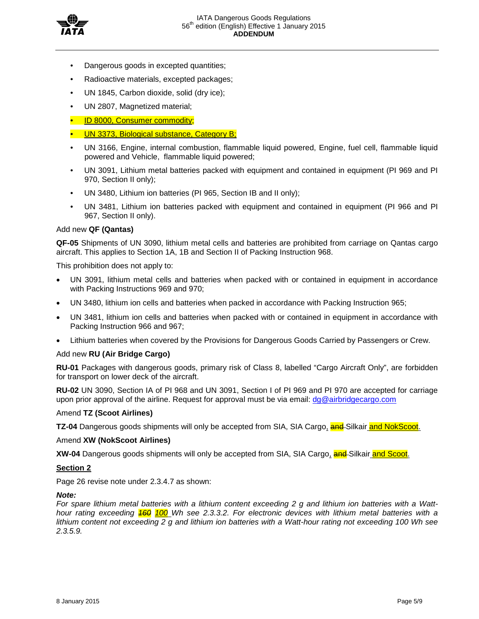

- Dangerous goods in excepted quantities;
- Radioactive materials, excepted packages;
- UN 1845, Carbon dioxide, solid (dry ice);
- UN 2807, Magnetized material;
- ID 8000, Consumer commodity;
- UN 3373, Biological substance, Category B;
- UN 3166, Engine, internal combustion, flammable liquid powered, Engine, fuel cell, flammable liquid powered and Vehicle, flammable liquid powered;
- UN 3091, Lithium metal batteries packed with equipment and contained in equipment (PI 969 and PI 970, Section II only);
- UN 3480, Lithium ion batteries (PI 965, Section IB and II only);
- UN 3481, Lithium ion batteries packed with equipment and contained in equipment (PI 966 and PI 967, Section II only).

## Add new **QF (Qantas)**

**QF-05** Shipments of UN 3090, lithium metal cells and batteries are prohibited from carriage on Qantas cargo aircraft. This applies to Section 1A, 1B and Section II of Packing Instruction 968.

This prohibition does not apply to:

- UN 3091, lithium metal cells and batteries when packed with or contained in equipment in accordance with Packing Instructions 969 and 970;
- UN 3480, lithium ion cells and batteries when packed in accordance with Packing Instruction 965;
- UN 3481, lithium ion cells and batteries when packed with or contained in equipment in accordance with Packing Instruction 966 and 967;
- Lithium batteries when covered by the Provisions for Dangerous Goods Carried by Passengers or Crew.

## Add new **RU (Air Bridge Cargo)**

**RU-01** Packages with dangerous goods, primary risk of Class 8, labelled "Cargo Aircraft Only", are forbidden for transport on lower deck of the aircraft.

**RU-02** UN 3090, Section IA of PI 968 and UN 3091, Section I of PI 969 and PI 970 are accepted for carriage upon prior approval of the airline. Request for approval must be via email:  $dg@airbridge cargo.com$ 

#### Amend **TZ (Scoot Airlines)**

**TZ-04** Dangerous goods shipments will only be accepted from SIA, SIA Cargo, **and** Silkair and NokScoot.

#### Amend **XW (NokScoot Airlines)**

**XW-04** Dangerous goods shipments will only be accepted from SIA, SIA Cargo, **and**-Silkair and Scoot.

## **Section 2**

Page 26 revise note under 2.3.4.7 as shown:

#### *Note:*

*For spare lithium metal batteries with a lithium content exceeding 2 g and lithium ion batteries with a Watthour rating exceeding 160 100 Wh see 2.3.3.2. For electronic devices with lithium metal batteries with a lithium content not exceeding 2 g and lithium ion batteries with a Watt-hour rating not exceeding 100 Wh see 2.3.5.9.*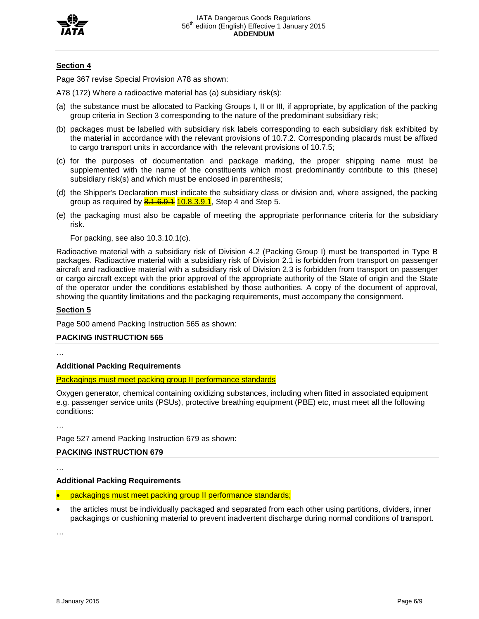

## **Section 4**

Page 367 revise Special Provision A78 as shown:

A78 (172) Where a radioactive material has (a) subsidiary risk(s):

- (a) the substance must be allocated to Packing Groups I, II or III, if appropriate, by application of the packing group criteria in Section 3 corresponding to the nature of the predominant subsidiary risk;
- (b) packages must be labelled with subsidiary risk labels corresponding to each subsidiary risk exhibited by the material in accordance with the relevant provisions of 10.7.2. Corresponding placards must be affixed to cargo transport units in accordance with the relevant provisions of 10.7.5;
- (c) for the purposes of documentation and package marking, the proper shipping name must be supplemented with the name of the constituents which most predominantly contribute to this (these) subsidiary risk(s) and which must be enclosed in parenthesis;
- (d) the Shipper's Declaration must indicate the subsidiary class or division and, where assigned, the packing group as required by **8.1.6.9.1** 10.8.3.9.1, Step 4 and Step 5.
- (e) the packaging must also be capable of meeting the appropriate performance criteria for the subsidiary risk.

For packing, see also 10.3.10.1(c).

Radioactive material with a subsidiary risk of Division 4.2 (Packing Group I) must be transported in Type B packages. Radioactive material with a subsidiary risk of Division 2.1 is forbidden from transport on passenger aircraft and radioactive material with a subsidiary risk of Division 2.3 is forbidden from transport on passenger or cargo aircraft except with the prior approval of the appropriate authority of the State of origin and the State of the operator under the conditions established by those authorities. A copy of the document of approval, showing the quantity limitations and the packaging requirements, must accompany the consignment.

### **Section 5**

Page 500 amend Packing Instruction 565 as shown:

## **PACKING INSTRUCTION 565**

…

## **Additional Packing Requirements**

#### Packagings must meet packing group II performance standards

Oxygen generator, chemical containing oxidizing substances, including when fitted in associated equipment e.g. passenger service units (PSUs), protective breathing equipment (PBE) etc, must meet all the following conditions:

…

Page 527 amend Packing Instruction 679 as shown:

## **PACKING INSTRUCTION 679**

…

## **Additional Packing Requirements**

- packagings must meet packing group II performance standards;
- the articles must be individually packaged and separated from each other using partitions, dividers, inner packagings or cushioning material to prevent inadvertent discharge during normal conditions of transport.

…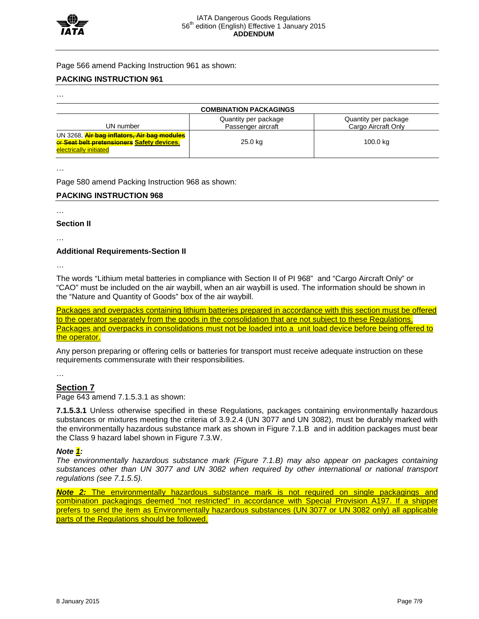

Page 566 amend Packing Instruction 961 as shown:

## **PACKING INSTRUCTION 961**

…

| <b>COMBINATION PACKAGINGS</b>                                                                                              |                                            |                                             |
|----------------------------------------------------------------------------------------------------------------------------|--------------------------------------------|---------------------------------------------|
| UN number                                                                                                                  | Quantity per package<br>Passenger aircraft | Quantity per package<br>Cargo Aircraft Only |
| UN 3268, <i>Air bag inflators, Air bag modules</i><br>or Seat belt pretensioners Safety devices.<br>electrically initiated | 25.0 kg                                    | 100.0 kg                                    |

…

Page 580 amend Packing Instruction 968 as shown:

## **PACKING INSTRUCTION 968**

…

## **Section II**

…

## **Additional Requirements-Section II**

…

The words "Lithium metal batteries in compliance with Section II of PI 968" and "Cargo Aircraft Only" or "CAO" must be included on the air waybill, when an air waybill is used. The information should be shown in the "Nature and Quantity of Goods" box of the air waybill.

Packages and overpacks containing lithium batteries prepared in accordance with this section must be offered to the operator separately from the goods in the consolidation that are not subject to these Regulations. Packages and overpacks in consolidations must not be loaded into a unit load device before being offered to the operator.

Any person preparing or offering cells or batteries for transport must receive adequate instruction on these requirements commensurate with their responsibilities.

…

## **Section 7**

Page 643 amend 7.1.5.3.1 as shown:

**7.1.5.3.1** Unless otherwise specified in these Regulations, packages containing environmentally hazardous substances or mixtures meeting the criteria of 3.9.2.4 (UN 3077 and UN 3082), must be durably marked with the environmentally hazardous substance mark as shown in Figure 7.1.B and in addition packages must bear the Class 9 hazard label shown in Figure 7.3.W.

## *Note 1:*

*The environmentally hazardous substance mark (Figure 7.1.B) may also appear on packages containing substances other than UN 3077 and UN 3082 when required by other international or national transport regulations (see 7.1.5.5).*

*Note 2:* The environmentally hazardous substance mark is not required on single packagings and combination packagings deemed "not restricted" in accordance with Special Provision A197. If a shipper prefers to send the item as Environmentally hazardous substances (UN 3077 or UN 3082 only) all applicable parts of the Regulations should be followed.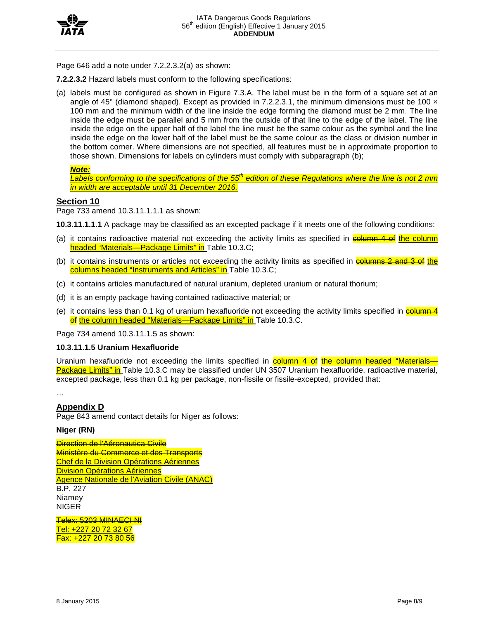

Page 646 add a note under 7.2.2.3.2(a) as shown:

**7.2.2.3.2** Hazard labels must conform to the following specifications:

(a) labels must be configured as shown in Figure 7.3.A. The label must be in the form of a square set at an angle of 45 $\degree$  (diamond shaped). Except as provided in 7.2.2.3.1, the minimum dimensions must be 100  $\times$ 100 mm and the minimum width of the line inside the edge forming the diamond must be 2 mm. The line inside the edge must be parallel and 5 mm from the outside of that line to the edge of the label. The line inside the edge on the upper half of the label the line must be the same colour as the symbol and the line inside the edge on the lower half of the label must be the same colour as the class or division number in the bottom corner. Where dimensions are not specified, all features must be in approximate proportion to those shown. Dimensions for labels on cylinders must comply with subparagraph (b);

## *Note:*

*Labels conforming to the specifications of the 55th edition of these Regulations where the line is not 2 mm in width are acceptable until 31 December 2016.*

## **Section 10**

Page 733 amend 10.3.11.1.1.1 as shown:

**10.3.11.1.1.1** A package may be classified as an excepted package if it meets one of the following conditions:

- (a) it contains radioactive material not exceeding the activity limits as specified in **column 4 of the column** headed "Materials—Package Limits" in Table 10.3.C;
- (b) it contains instruments or articles not exceeding the activity limits as specified in **columns 2 and 3 of the** columns headed "Instruments and Articles" in Table 10.3.C;
- (c) it contains articles manufactured of natural uranium, depleted uranium or natural thorium;
- (d) it is an empty package having contained radioactive material; or
- (e) it contains less than 0.1 kg of uranium hexafluoride not exceeding the activity limits specified in  $\frac{1}{\sqrt{2}}$ of the column headed "Materials—Package Limits" in Table 10.3.C.

Page 734 amend 10.3.11.1.5 as shown:

## **10.3.11.1.5 Uranium Hexafluoride**

Uranium hexafluoride not exceeding the limits specified in **column 4 of the column headed "Materials-**Package Limits" in Table 10.3.C may be classified under UN 3507 Uranium hexafluoride, radioactive material, excepted package, less than 0.1 kg per package, non-fissile or fissile-excepted, provided that:

…

## **Appendix D**

Page 843 amend contact details for Niger as follows:

## **Niger (RN)**

**Direction de l'Aéronautica Civile** Ministère du Commerce et des Transports Chef de la Division Opérations Aériennes **Division Opérations Aériennes** Agence Nationale de l'Aviation Civile (ANAC) B.P. 227 Niamey NIGER

Telex: 5203 MINAECI NI Tel: +227 20 72 32 67 Fax: +227 20 73 80 56